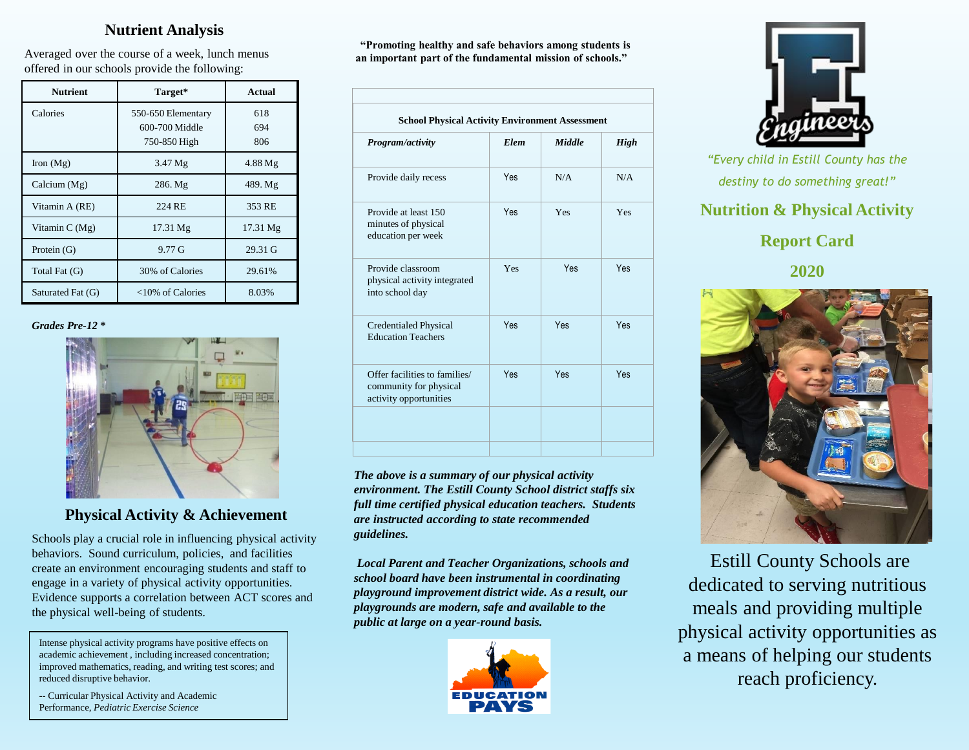## **Nutrient Analysis**

Averaged over the course of a week, lunch menus offered in our schools provide the following:

| <b>Nutrient</b>   | Target*                                              | Actual            |
|-------------------|------------------------------------------------------|-------------------|
| Calories          | 550-650 Elementary<br>600-700 Middle<br>750-850 High | 618<br>694<br>806 |
| Iron $(Mg)$       | $3.47 \mathrm{Mg}$                                   | $4.88$ Mg         |
| Calcium (Mg)      | 286. Mg                                              | 489. Mg           |
| Vitamin A (RE)    | 224 RE                                               | 353 RE            |
| Vitamin $C(Mg)$   | $17.31 \text{ Mg}$                                   | 17.31 Mg          |
| Protein $(G)$     | $9.77 \,\mathrm{G}$                                  | 29.31 G           |
| Total Fat (G)     | 30% of Calories                                      | 29.61%            |
| Saturated Fat (G) | <10% of Calories                                     | 8.03%             |

#### *Grades Pre-12* **\***



# **Physical Activity & Achievement**

Schools play a crucial role in influencing physical activity behaviors. Sound curriculum, policies, and facilities create an environment encouraging students and staff to engage in a variety of physical activity opportunities. Evidence supports a correlation between ACT scores and the physical well-being of students.

Intense physical activity programs have positive effects on academic achievement , including increased concentration; improved mathematics, reading, and writing test scores; and reduced disruptive behavior.

*--* Curricular Physical Activity and Academic Performance, *Pediatric Exercise Science*

**"Promoting healthy and safe behaviors among students is an important part of the fundamental mission of schools."**

| Program/activity                                                                  | <b>Elem</b> | Middle | <b>High</b> |
|-----------------------------------------------------------------------------------|-------------|--------|-------------|
| Provide daily recess                                                              | Yes         | N/A    | N/A         |
| Provide at least 150<br>minutes of physical<br>education per week                 | Yes         | Yes    | Yes         |
| Provide classroom<br>physical activity integrated<br>into school day              | Yes         | Yes    | Yes         |
| <b>Credentialed Physical</b><br><b>Education Teachers</b>                         | Yes         | Yes    | Yes         |
| Offer facilities to families/<br>community for physical<br>activity opportunities | <b>Yes</b>  | Yes    | Yes         |

*The above is a summary of our physical activity environment. The Estill County School district staffs six full time certified physical education teachers. Students are instructed according to state recommended guidelines.*

*Local Parent and Teacher Organizations, schools and school board have been instrumental in coordinating playground improvement district wide. As a result, our playgrounds are modern, safe and available to the public at large on a year-round basis.*





*"Every child in Estill County has the destiny to do something great!"*

# **Nutrition & Physical Activity**

## **Report Card**

**2020**



Estill County Schools are dedicated to serving nutritious meals and providing multiple physical activity opportunities as a means of helping our students reach proficiency.